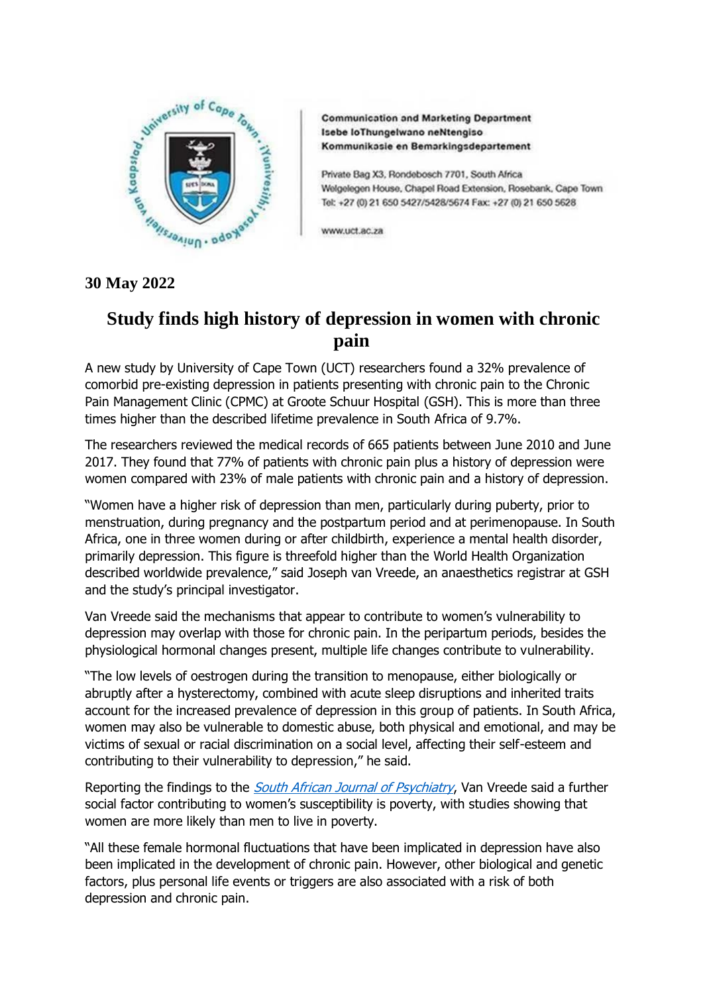

**Communication and Marketing Department** Isebe loThungelwano neNtengiso Kommunikasie en Bemarkingsdepartement

Private Bag X3, Rondebosch 7701, South Africa Welgelegen House, Chapel Road Extension, Rosebank, Cape Town Tel: +27 (0) 21 650 5427/5428/5674 Fax: +27 (0) 21 650 5628

www.uct.ac.za

## **30 May 2022**

## **Study finds high history of depression in women with chronic pain**

A new study by University of Cape Town (UCT) researchers found a 32% prevalence of comorbid pre-existing depression in patients presenting with chronic pain to the Chronic Pain Management Clinic (CPMC) at Groote Schuur Hospital (GSH). This is more than three times higher than the described lifetime prevalence in South Africa of 9.7%.

The researchers reviewed the medical records of 665 patients between June 2010 and June 2017. They found that 77% of patients with chronic pain plus a history of depression were women compared with 23% of male patients with chronic pain and a history of depression.

"Women have a higher risk of depression than men, particularly during puberty, prior to menstruation, during pregnancy and the postpartum period and at perimenopause. In South Africa, one in three women during or after childbirth, experience a mental health disorder, primarily depression. This figure is threefold higher than the World Health Organization described worldwide prevalence," said Joseph van Vreede, an anaesthetics registrar at GSH and the study's principal investigator.

Van Vreede said the mechanisms that appear to contribute to women's vulnerability to depression may overlap with those for chronic pain. In the peripartum periods, besides the physiological hormonal changes present, multiple life changes contribute to vulnerability.

"The low levels of oestrogen during the transition to menopause, either biologically or abruptly after a hysterectomy, combined with acute sleep disruptions and inherited traits account for the increased prevalence of depression in this group of patients. In South Africa, women may also be vulnerable to domestic abuse, both physical and emotional, and may be victims of sexual or racial discrimination on a social level, affecting their self-esteem and contributing to their vulnerability to depression," he said.

Reporting the findings to the *[South African Journal of Psychiatry](https://sajp.org.za/index.php/sajp/article/view/1673/0)*, Van Vreede said a further social factor contributing to women's susceptibility is poverty, with studies showing that women are more likely than men to live in poverty.

"All these female hormonal fluctuations that have been implicated in depression have also been implicated in the development of chronic pain. However, other biological and genetic factors, plus personal life events or triggers are also associated with a risk of both depression and chronic pain.